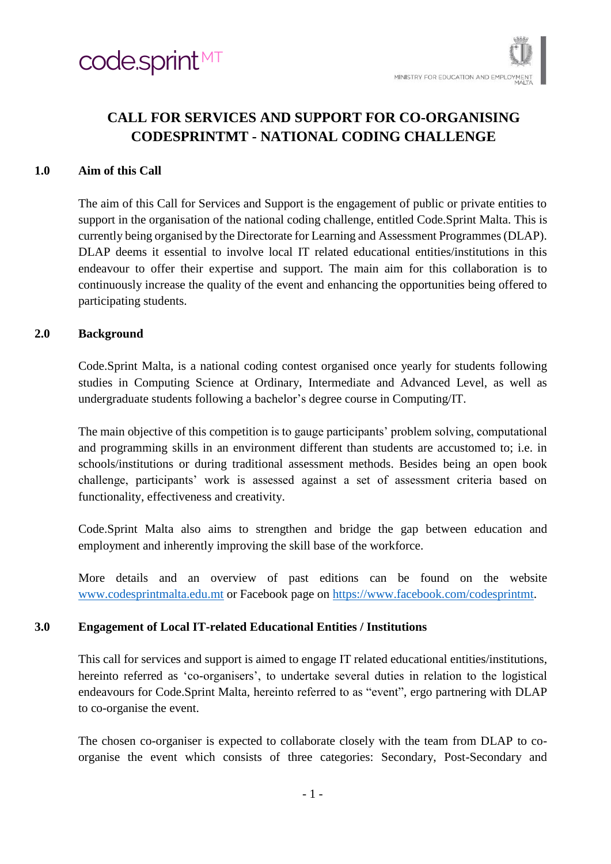

# **CALL FOR SERVICES AND SUPPORT FOR CO-ORGANISING CODESPRINTMT - NATIONAL CODING CHALLENGE**

### **1.0 Aim of this Call**

The aim of this Call for Services and Support is the engagement of public or private entities to support in the organisation of the national coding challenge, entitled Code.Sprint Malta. This is currently being organised by the Directorate for Learning and Assessment Programmes (DLAP). DLAP deems it essential to involve local IT related educational entities/institutions in this endeavour to offer their expertise and support. The main aim for this collaboration is to continuously increase the quality of the event and enhancing the opportunities being offered to participating students.

### **2.0 Background**

Code.Sprint Malta, is a national coding contest organised once yearly for students following studies in Computing Science at Ordinary, Intermediate and Advanced Level, as well as undergraduate students following a bachelor's degree course in Computing/IT.

The main objective of this competition is to gauge participants' problem solving, computational and programming skills in an environment different than students are accustomed to; i.e. in schools/institutions or during traditional assessment methods. Besides being an open book challenge, participants' work is assessed against a set of assessment criteria based on functionality, effectiveness and creativity.

Code.Sprint Malta also aims to strengthen and bridge the gap between education and employment and inherently improving the skill base of the workforce.

More details and an overview of past editions can be found on the website [www.codesprintmalta.edu.mt](http://www.codesprintmalta.edu.mt/) or Facebook page on [https://www.facebook.com/codesprintmt.](https://www.facebook.com/codesprintmt)

### **3.0 Engagement of Local IT-related Educational Entities / Institutions**

This call for services and support is aimed to engage IT related educational entities/institutions, hereinto referred as 'co-organisers', to undertake several duties in relation to the logistical endeavours for Code.Sprint Malta, hereinto referred to as "event", ergo partnering with DLAP to co-organise the event.

The chosen co-organiser is expected to collaborate closely with the team from DLAP to coorganise the event which consists of three categories: Secondary, Post-Secondary and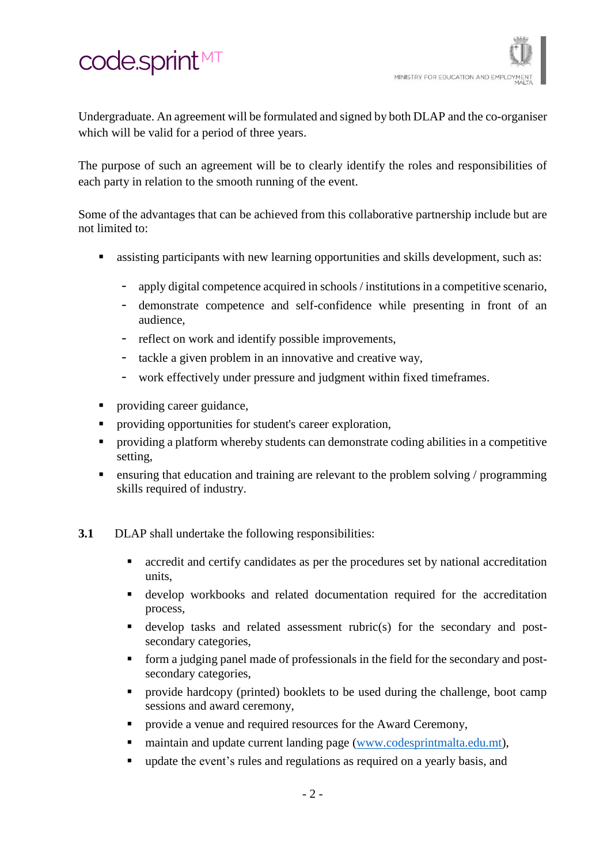# code.sprint<sup>MT</sup>

Undergraduate. An agreement will be formulated and signed by both DLAP and the co-organiser which will be valid for a period of three years.

The purpose of such an agreement will be to clearly identify the roles and responsibilities of each party in relation to the smooth running of the event.

Some of the advantages that can be achieved from this collaborative partnership include but are not limited to:

- assisting participants with new learning opportunities and skills development, such as:
	- apply digital competence acquired in schools / institutions in a competitive scenario,
	- demonstrate competence and self-confidence while presenting in front of an audience,
	- reflect on work and identify possible improvements,
	- tackle a given problem in an innovative and creative way,
	- work effectively under pressure and judgment within fixed timeframes.
- providing career guidance,
- providing opportunities for student's career exploration,
- providing a platform whereby students can demonstrate coding abilities in a competitive setting,
- ensuring that education and training are relevant to the problem solving / programming skills required of industry.
- **3.1** DLAP shall undertake the following responsibilities:
	- accredit and certify candidates as per the procedures set by national accreditation units,
	- develop workbooks and related documentation required for the accreditation process,
	- develop tasks and related assessment rubric(s) for the secondary and postsecondary categories,
	- form a judging panel made of professionals in the field for the secondary and postsecondary categories,
	- provide hardcopy (printed) booklets to be used during the challenge, boot camp sessions and award ceremony,
	- provide a venue and required resources for the Award Ceremony,
	- maintain and update current landing page [\(www.codesprintmalta.edu.mt\)](http://www.codesprintmalta.edu.mt/),
	- update the event's rules and regulations as required on a yearly basis, and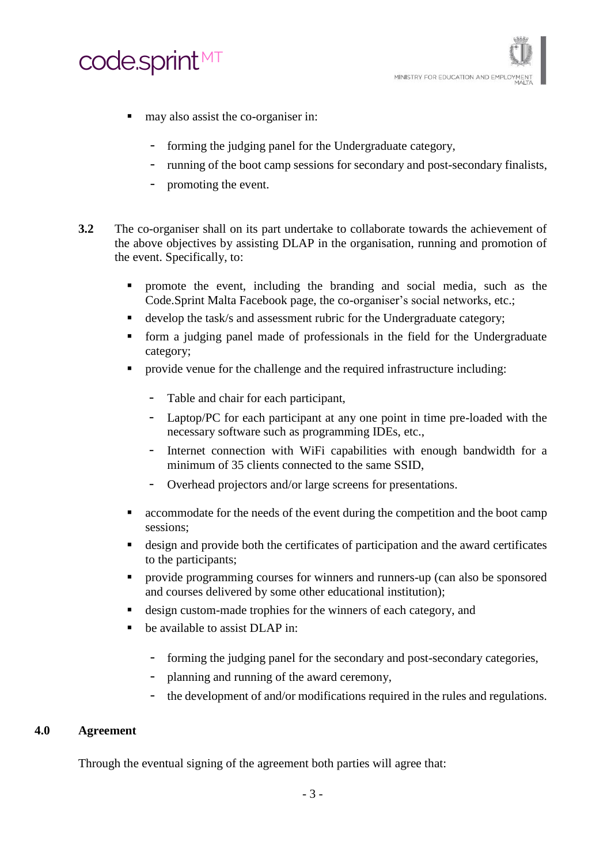

- may also assist the co-organiser in:
	- forming the judging panel for the Undergraduate category,
	- running of the boot camp sessions for secondary and post-secondary finalists,
	- promoting the event.
- **3.2** The co-organiser shall on its part undertake to collaborate towards the achievement of the above objectives by assisting DLAP in the organisation, running and promotion of the event. Specifically, to:
	- promote the event, including the branding and social media, such as the Code.Sprint Malta Facebook page, the co-organiser's social networks, etc.;
	- develop the task/s and assessment rubric for the Undergraduate category;
	- form a judging panel made of professionals in the field for the Undergraduate category;
	- provide venue for the challenge and the required infrastructure including:
		- Table and chair for each participant,
		- Laptop/PC for each participant at any one point in time pre-loaded with the necessary software such as programming IDEs, etc.,
		- Internet connection with WiFi capabilities with enough bandwidth for a minimum of 35 clients connected to the same SSID,
		- Overhead projectors and/or large screens for presentations.
	- accommodate for the needs of the event during the competition and the boot camp sessions;
	- design and provide both the certificates of participation and the award certificates to the participants;
	- provide programming courses for winners and runners-up (can also be sponsored and courses delivered by some other educational institution);
	- design custom-made trophies for the winners of each category, and
	- be available to assist DLAP in:
		- forming the judging panel for the secondary and post-secondary categories,
		- planning and running of the award ceremony,
		- the development of and/or modifications required in the rules and regulations.

### **4.0 Agreement**

Through the eventual signing of the agreement both parties will agree that: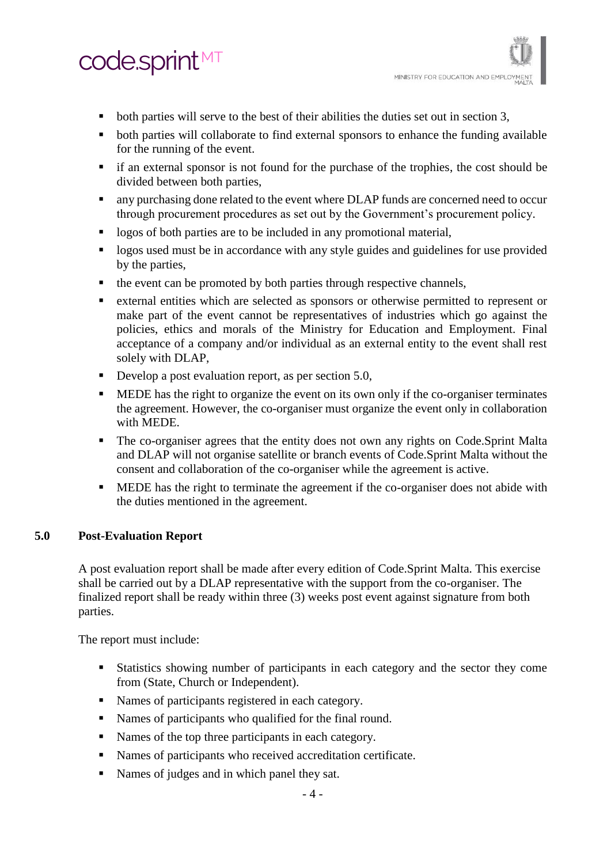# code.sprint<sup>MT</sup>

- both parties will serve to the best of their abilities the duties set out in section 3,
- both parties will collaborate to find external sponsors to enhance the funding available for the running of the event.
- if an external sponsor is not found for the purchase of the trophies, the cost should be divided between both parties,
- any purchasing done related to the event where DLAP funds are concerned need to occur through procurement procedures as set out by the Government's procurement policy.
- logos of both parties are to be included in any promotional material,
- **•** logos used must be in accordance with any style guides and guidelines for use provided by the parties,
- the event can be promoted by both parties through respective channels,
- external entities which are selected as sponsors or otherwise permitted to represent or make part of the event cannot be representatives of industries which go against the policies, ethics and morals of the Ministry for Education and Employment. Final acceptance of a company and/or individual as an external entity to the event shall rest solely with DLAP,
- Develop a post evaluation report, as per section 5.0,
- **EXECUTE:** MEDE has the right to organize the event on its own only if the co-organiser terminates the agreement. However, the co-organiser must organize the event only in collaboration with MEDE.
- The co-organiser agrees that the entity does not own any rights on Code.Sprint Malta and DLAP will not organise satellite or branch events of Code.Sprint Malta without the consent and collaboration of the co-organiser while the agreement is active.
- **EXECUTE:** MEDE has the right to terminate the agreement if the co-organiser does not abide with the duties mentioned in the agreement.

# **5.0 Post-Evaluation Report**

A post evaluation report shall be made after every edition of Code.Sprint Malta. This exercise shall be carried out by a DLAP representative with the support from the co-organiser. The finalized report shall be ready within three (3) weeks post event against signature from both parties.

The report must include:

- Statistics showing number of participants in each category and the sector they come from (State, Church or Independent).
- Names of participants registered in each category.
- Names of participants who qualified for the final round.
- Names of the top three participants in each category.
- Names of participants who received accreditation certificate.
- Names of judges and in which panel they sat.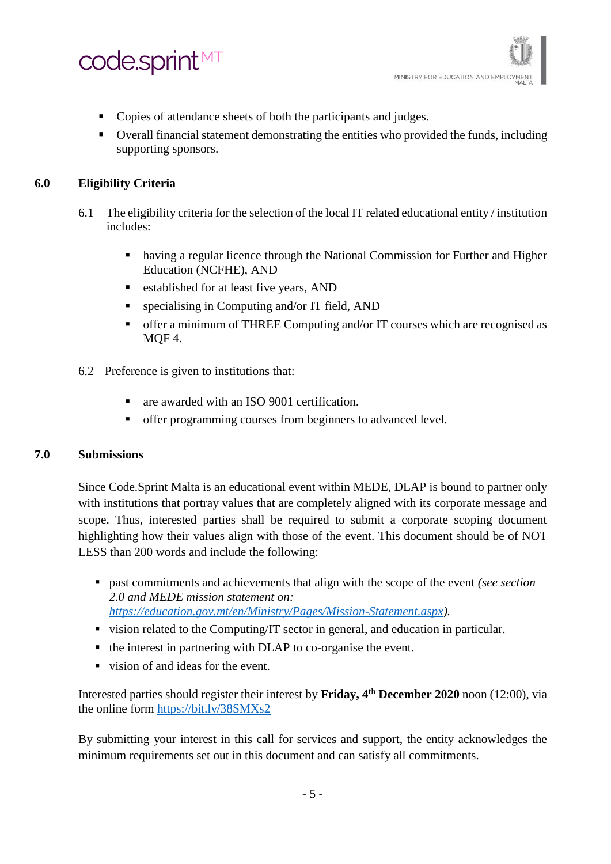

- Copies of attendance sheets of both the participants and judges.
- Overall financial statement demonstrating the entities who provided the funds, including supporting sponsors.

# **6.0 Eligibility Criteria**

- 6.1 The eligibility criteria for the selection of the local IT related educational entity / institution includes:
	- having a regular licence through the National Commission for Further and Higher Education (NCFHE), AND
	- established for at least five years, AND
	- specialising in Computing and/or IT field, AND
	- **•** offer a minimum of THREE Computing and/or IT courses which are recognised as MQF 4.
- 6.2 Preference is given to institutions that:
	- are awarded with an ISO 9001 certification.
	- offer programming courses from beginners to advanced level.

# **7.0 Submissions**

Since Code.Sprint Malta is an educational event within MEDE, DLAP is bound to partner only with institutions that portray values that are completely aligned with its corporate message and scope. Thus, interested parties shall be required to submit a corporate scoping document highlighting how their values align with those of the event. This document should be of NOT LESS than 200 words and include the following:

- past commitments and achievements that align with the scope of the event *(see section*) *2.0 and MEDE mission statement on: [https://education.gov.mt/en/Ministry/Pages/Mission-Statement.aspx\)](https://education.gov.mt/en/Ministry/Pages/Mission-Statement.aspx).*
- vision related to the Computing/IT sector in general, and education in particular.
- the interest in partnering with DLAP to co-organise the event.
- vision of and ideas for the event.

Interested parties should register their interest by **Friday, 4 th December 2020** noon (12:00), via the online form<https://bit.ly/38SMXs2>

By submitting your interest in this call for services and support, the entity acknowledges the minimum requirements set out in this document and can satisfy all commitments.